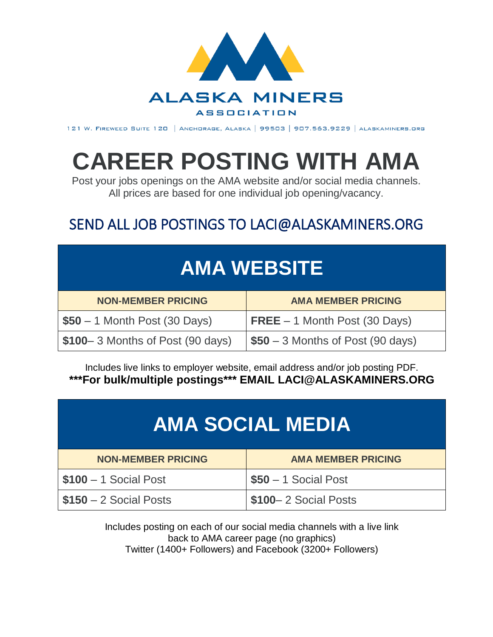

121 W. FIREWEED SUITE 120 | ANCHORAGE, ALASKA | 99503 | 907.563.9229 | ALASKAMINERS.ORG

# **CAREER POSTING WITH AMA**

Post your jobs openings on the AMA website and/or social media channels. All prices are based for one individual job opening/vacancy.

#### SEND ALL JOB POSTINGS TO LACI@ALASKAMINERS.ORG

## **AMA WEBSITE**

| <b>NON-MEMBER PRICING</b>                      | <b>AMA MEMBER PRICING</b>          |
|------------------------------------------------|------------------------------------|
| $$50 - 1$ Month Post (30 Days)                 | $REE - 1$ Month Post (30 Days)     |
| $\frac{1}{2}$ \$100–3 Months of Post (90 days) | $$50 - 3$ Months of Post (90 days) |

Includes live links to employer website, email address and/or job posting PDF. **\*\*\*For bulk/multiple postings\*\*\* EMAIL LACI@ALASKAMINERS.ORG**

### **AMA SOCIAL MEDIA**

| <b>NON-MEMBER PRICING</b>       | <b>AMA MEMBER PRICING</b> |
|---------------------------------|---------------------------|
| $\vert$ \$100 $-$ 1 Social Post | $$50 - 1$ Social Post     |
| $\vert$ \$150 – 2 Social Posts  | \$100-2 Social Posts      |

Includes posting on each of our social media channels with a live link back to AMA career page (no graphics) Twitter (1400+ Followers) and Facebook (3200+ Followers)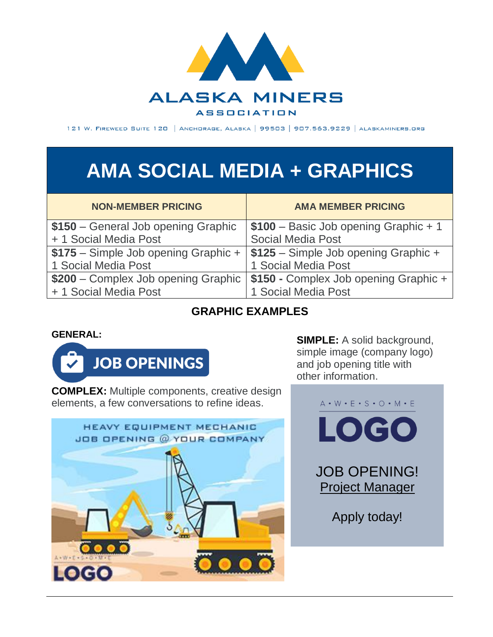

121 W. FIREWEED SUITE 120 | ANCHORAGE, ALASKA | 99503 | 907.563.9229 | ALASKAMINERS.ORG

### **AMA SOCIAL MEDIA + GRAPHICS**

| <b>NON-MEMBER PRICING</b>            | <b>AMA MEMBER PRICING</b>                                                   |
|--------------------------------------|-----------------------------------------------------------------------------|
| \$150 - General Job opening Graphic  | $$100 - Basic Job opening Graphic + 1$                                      |
| + 1 Social Media Post                | <b>Social Media Post</b>                                                    |
| \$175 - Simple Job opening Graphic + | \$125 - Simple Job opening Graphic +                                        |
| 1 Social Media Post                  | 1 Social Media Post                                                         |
|                                      | \$200 - Complex Job opening Graphic   \$150 - Complex Job opening Graphic + |
| + 1 Social Media Post                | 1 Social Media Post                                                         |

#### **GRAPHIC EXAMPLES**

#### **GENERAL:**



**COMPLEX:** Multiple components, creative design elements, a few conversations to refine ideas.



**SIMPLE:** A solid background, simple image (company logo) and job opening title with other information.